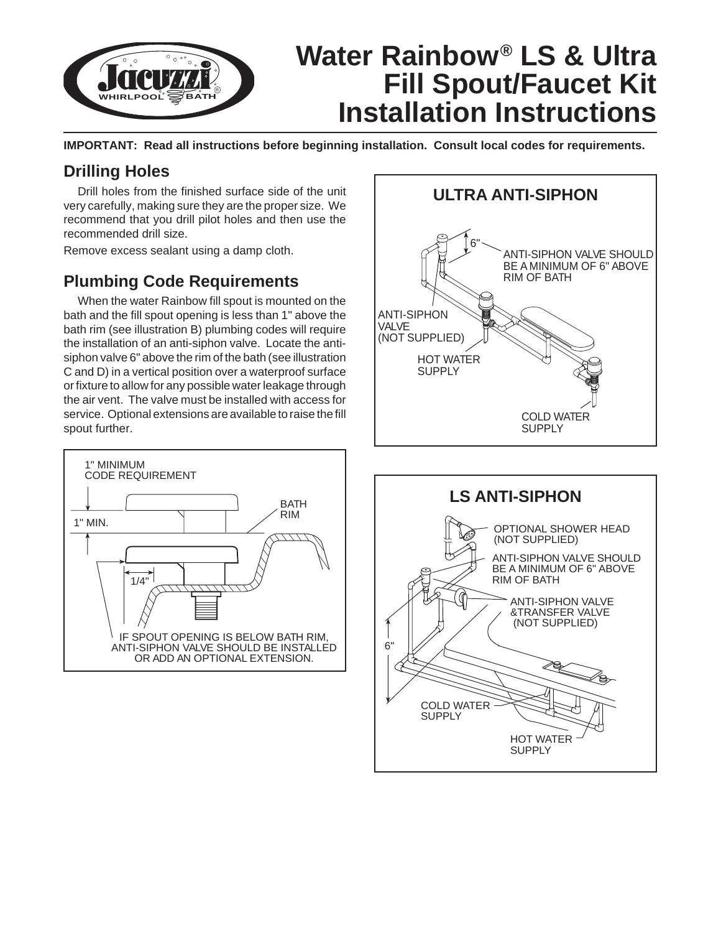

**IMPORTANT: Read all instructions before beginning installation. Consult local codes for requirements.**

## **Drilling Holes**

Drill holes from the finished surface side of the unit very carefully, making sure they are the proper size. We recommend that you drill pilot holes and then use the recommended drill size.

Remove excess sealant using a damp cloth.

# **Plumbing Code Requirements**

When the water Rainbow fill spout is mounted on the bath and the fill spout opening is less than 1" above the bath rim (see illustration B) plumbing codes will require the installation of an anti-siphon valve. Locate the antisiphon valve 6" above the rim of the bath (see illustration C and D) in a vertical position over a waterproof surface or fixture to allow for any possible water leakage through the air vent. The valve must be installed with access for service. Optional extensions are available to raise the fill spout further.





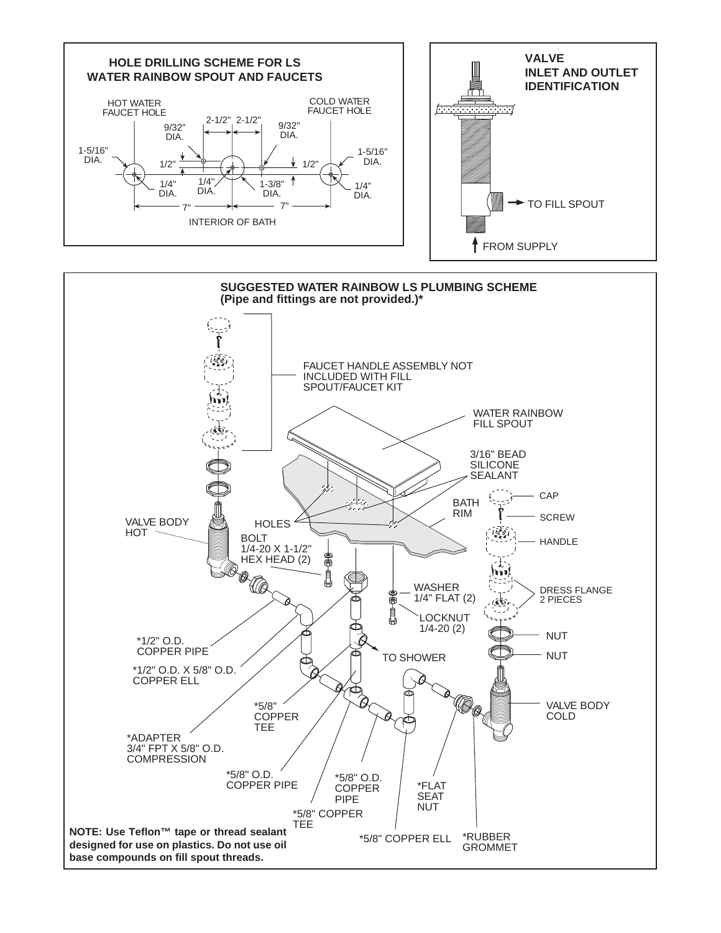

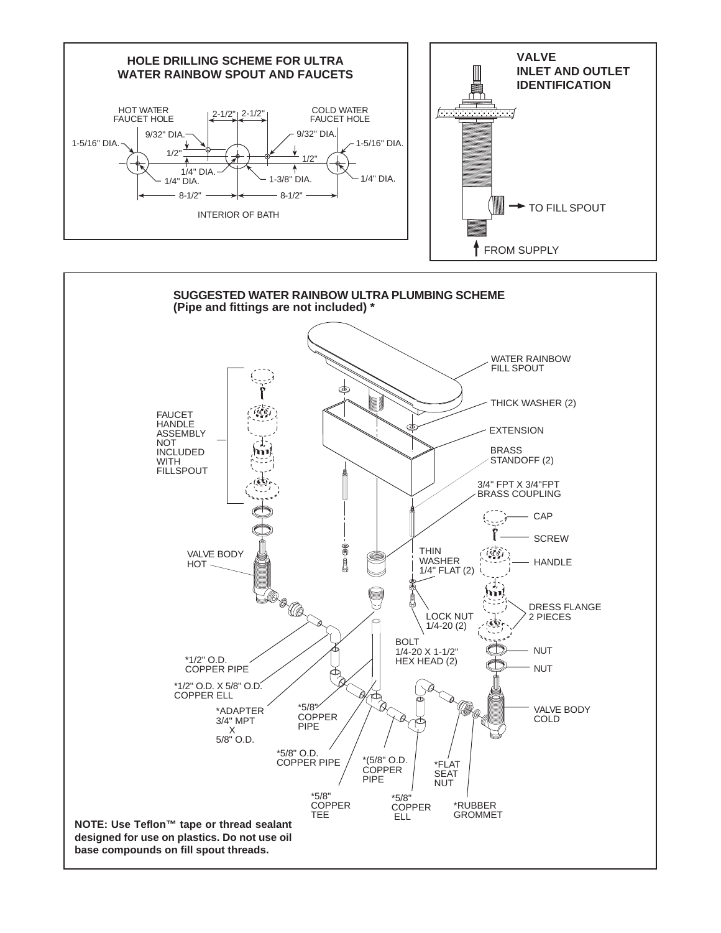